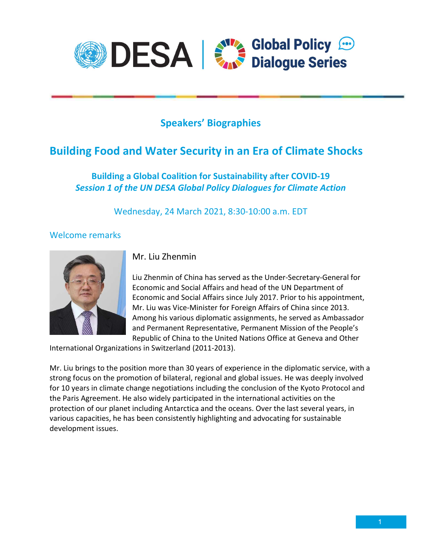

# Speakers' Biographies

# Building Food and Water Security in an Era of Climate Shocks

## Building a Global Coalition for Sustainability after COVID-19 Session 1 of the UN DESA Global Policy Dialogues for Climate Action

Wednesday, 24 March 2021, 8:30-10:00 a.m. EDT

#### Welcome remarks



Mr. Liu Zhenmin

Liu Zhenmin of China has served as the Under-Secretary-General for Economic and Social Affairs and head of the UN Department of Economic and Social Affairs since July 2017. Prior to his appointment, Mr. Liu was Vice-Minister for Foreign Affairs of China since 2013. Among his various diplomatic assignments, he served as Ambassador and Permanent Representative, Permanent Mission of the People's Republic of China to the United Nations Office at Geneva and Other

International Organizations in Switzerland (2011-2013).

Mr. Liu brings to the position more than 30 years of experience in the diplomatic service, with a strong focus on the promotion of bilateral, regional and global issues. He was deeply involved for 10 years in climate change negotiations including the conclusion of the Kyoto Protocol and the Paris Agreement. He also widely participated in the international activities on the protection of our planet including Antarctica and the oceans. Over the last several years, in various capacities, he has been consistently highlighting and advocating for sustainable development issues.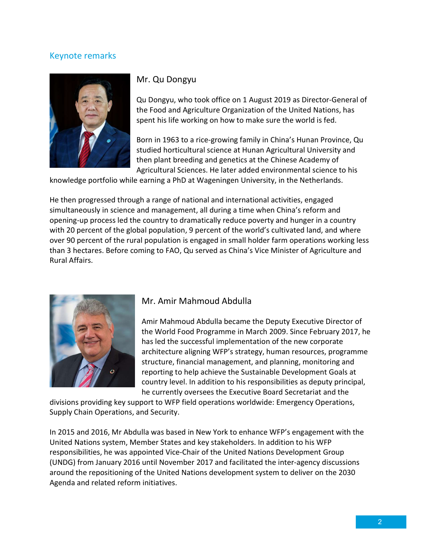### Keynote remarks



### Mr. Qu Dongyu

Qu Dongyu, who took office on 1 August 2019 as Director-General of the Food and Agriculture Organization of the United Nations, has spent his life working on how to make sure the world is fed.

Born in 1963 to a rice-growing family in China's Hunan Province, Qu studied horticultural science at Hunan Agricultural University and then plant breeding and genetics at the Chinese Academy of Agricultural Sciences. He later added environmental science to his

knowledge portfolio while earning a PhD at Wageningen University, in the Netherlands.

He then progressed through a range of national and international activities, engaged simultaneously in science and management, all during a time when China's reform and opening-up process led the country to dramatically reduce poverty and hunger in a country with 20 percent of the global population, 9 percent of the world's cultivated land, and where over 90 percent of the rural population is engaged in small holder farm operations working less than 3 hectares. Before coming to FAO, Qu served as China's Vice Minister of Agriculture and Rural Affairs.



#### Mr. Amir Mahmoud Abdulla

Amir Mahmoud Abdulla became the Deputy Executive Director of the World Food Programme in March 2009. Since February 2017, he has led the successful implementation of the new corporate architecture aligning WFP's strategy, human resources, programme structure, financial management, and planning, monitoring and reporting to help achieve the Sustainable Development Goals at country level. In addition to his responsibilities as deputy principal, he currently oversees the Executive Board Secretariat and the

divisions providing key support to WFP field operations worldwide: Emergency Operations, Supply Chain Operations, and Security.

In 2015 and 2016, Mr Abdulla was based in New York to enhance WFP's engagement with the United Nations system, Member States and key stakeholders. In addition to his WFP responsibilities, he was appointed Vice-Chair of the United Nations Development Group (UNDG) from January 2016 until November 2017 and facilitated the inter-agency discussions around the repositioning of the United Nations development system to deliver on the 2030 Agenda and related reform initiatives.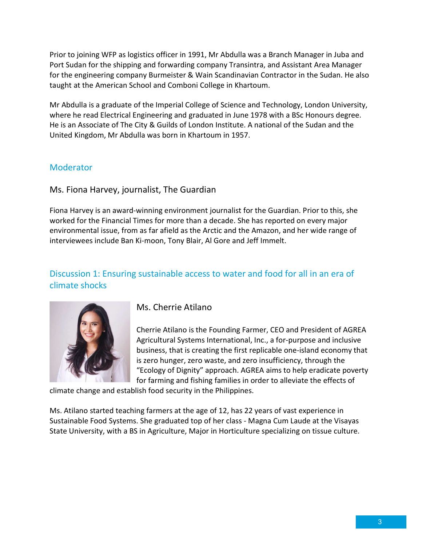Prior to joining WFP as logistics officer in 1991, Mr Abdulla was a Branch Manager in Juba and Port Sudan for the shipping and forwarding company Transintra, and Assistant Area Manager for the engineering company Burmeister & Wain Scandinavian Contractor in the Sudan. He also taught at the American School and Comboni College in Khartoum.

Mr Abdulla is a graduate of the Imperial College of Science and Technology, London University, where he read Electrical Engineering and graduated in June 1978 with a BSc Honours degree. He is an Associate of The City & Guilds of London Institute. A national of the Sudan and the United Kingdom, Mr Abdulla was born in Khartoum in 1957.

### **Moderator**

Ms. Fiona Harvey, journalist, The Guardian

Fiona Harvey is an award-winning environment journalist for the Guardian. Prior to this, she worked for the Financial Times for more than a decade. She has reported on every major environmental issue, from as far afield as the Arctic and the Amazon, and her wide range of interviewees include Ban Ki-moon, Tony Blair, Al Gore and Jeff Immelt.

## Discussion 1: Ensuring sustainable access to water and food for all in an era of climate shocks



Ms. Cherrie Atilano

Cherrie Atilano is the Founding Farmer, CEO and President of AGREA Agricultural Systems International, Inc., a for-purpose and inclusive business, that is creating the first replicable one-island economy that is zero hunger, zero waste, and zero insufficiency, through the "Ecology of Dignity" approach. AGREA aims to help eradicate poverty for farming and fishing families in order to alleviate the effects of

climate change and establish food security in the Philippines.

Ms. Atilano started teaching farmers at the age of 12, has 22 years of vast experience in Sustainable Food Systems. She graduated top of her class - Magna Cum Laude at the Visayas State University, with a BS in Agriculture, Major in Horticulture specializing on tissue culture.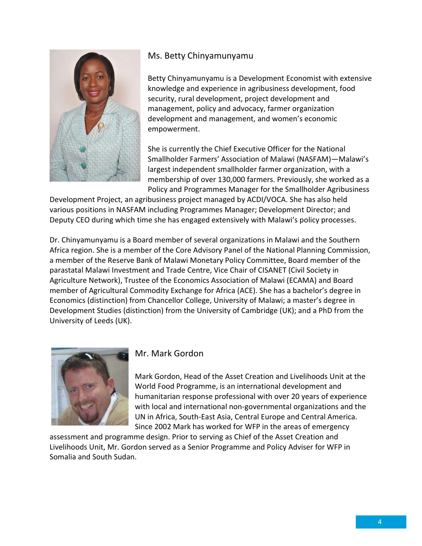

#### Ms. Betty Chinyamunyamu

Betty Chinyamunyamu is a Development Economist with extensive knowledge and experience in agribusiness development, food security, rural development, project development and management, policy and advocacy, farmer organization development and management, and women's economic empowerment.

She is currently the Chief Executive Officer for the National Smallholder Farmers' Association of Malawi (NASFAM)—Malawi's largest independent smallholder farmer organization, with a membership of over 130,000 farmers. Previously, she worked as a Policy and Programmes Manager for the Smallholder Agribusiness

Development Project, an agribusiness project managed by ACDI/VOCA. She has also held various positions in NASFAM including Programmes Manager; Development Director; and Deputy CEO during which time she has engaged extensively with Malawi's policy processes.

Dr. Chinyamunyamu is a Board member of several organizations in Malawi and the Southern Africa region. She is a member of the Core Advisory Panel of the National Planning Commission, a member of the Reserve Bank of Malawi Monetary Policy Committee, Board member of the parastatal Malawi Investment and Trade Centre, Vice Chair of CISANET (Civil Society in Agriculture Network), Trustee of the Economics Association of Malawi (ECAMA) and Board member of Agricultural Commodity Exchange for Africa (ACE). She has a bachelor's degree in Economics (distinction) from Chancellor College, University of Malawi; a master's degree in Development Studies (distinction) from the University of Cambridge (UK); and a PhD from the University of Leeds (UK).



#### Mr. Mark Gordon

Mark Gordon, Head of the Asset Creation and Livelihoods Unit at the World Food Programme, is an international development and humanitarian response professional with over 20 years of experience with local and international non-governmental organizations and the UN in Africa, South-East Asia, Central Europe and Central America. Since 2002 Mark has worked for WFP in the areas of emergency

assessment and programme design. Prior to serving as Chief of the Asset Creation and Livelihoods Unit, Mr. Gordon served as a Senior Programme and Policy Adviser for WFP in Somalia and South Sudan.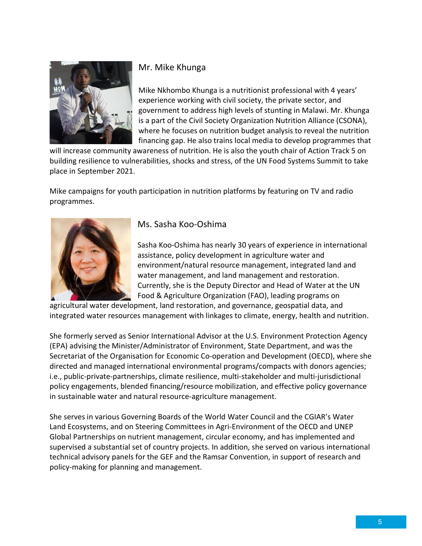

## Mr. Mike Khunga

Mike Nkhombo Khunga is a nutritionist professional with 4 years' experience working with civil society, the private sector, and government to address high levels of stunting in Malawi. Mr. Khunga is a part of the Civil Society Organization Nutrition Alliance (CSONA), where he focuses on nutrition budget analysis to reveal the nutrition financing gap. He also trains local media to develop programmes that

will increase community awareness of nutrition. He is also the youth chair of Action Track 5 on building resilience to vulnerabilities, shocks and stress, of the UN Food Systems Summit to take place in September 2021.

Mike campaigns for youth participation in nutrition platforms by featuring on TV and radio programmes.



## Ms. Sasha Koo-Oshima

Sasha Koo-Oshima has nearly 30 years of experience in international assistance, policy development in agriculture water and environment/natural resource management, integrated land and water management, and land management and restoration. Currently, she is the Deputy Director and Head of Water at the UN Food & Agriculture Organization (FAO), leading programs on

agricultural water development, land restoration, and governance, geospatial data, and integrated water resources management with linkages to climate, energy, health and nutrition.

She formerly served as Senior International Advisor at the U.S. Environment Protection Agency (EPA) advising the Minister/Administrator of Environment, State Department, and was the Secretariat of the Organisation for Economic Co-operation and Development (OECD), where she directed and managed international environmental programs/compacts with donors agencies; i.e., public-private-partnerships, climate resilience, multi-stakeholder and multi-jurisdictional policy engagements, blended financing/resource mobilization, and effective policy governance in sustainable water and natural resource-agriculture management.

She serves in various Governing Boards of the World Water Council and the CGIAR's Water Land Ecosystems, and on Steering Committees in Agri-Environment of the OECD and UNEP Global Partnerships on nutrient management, circular economy, and has implemented and supervised a substantial set of country projects. In addition, she served on various international technical advisory panels for the GEF and the Ramsar Convention, in support of research and policy-making for planning and management.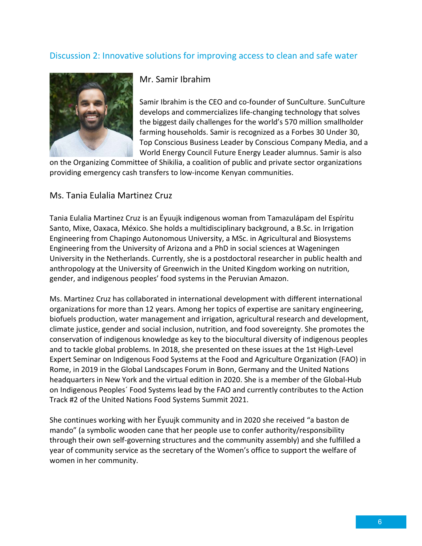## Discussion 2: Innovative solutions for improving access to clean and safe water



#### Mr. Samir Ibrahim

Samir Ibrahim is the CEO and co-founder of SunCulture. SunCulture develops and commercializes life-changing technology that solves the biggest daily challenges for the world's 570 million smallholder farming households. Samir is recognized as a Forbes 30 Under 30, Top Conscious Business Leader by Conscious Company Media, and a World Energy Council Future Energy Leader alumnus. Samir is also

on the Organizing Committee of Shikilia, a coalition of public and private sector organizations providing emergency cash transfers to low-income Kenyan communities.

#### Ms. Tania Eulalia Martinez Cruz

Tania Eulalia Martinez Cruz is an Ëyuujk indigenous woman from Tamazulápam del Espíritu Santo, Mixe, Oaxaca, México. She holds a multidisciplinary background, a B.Sc. in Irrigation Engineering from Chapingo Autonomous University, a MSc. in Agricultural and Biosystems Engineering from the University of Arizona and a PhD in social sciences at Wageningen University in the Netherlands. Currently, she is a postdoctoral researcher in public health and anthropology at the University of Greenwich in the United Kingdom working on nutrition, gender, and indigenous peoples' food systems in the Peruvian Amazon.

Ms. Martinez Cruz has collaborated in international development with different international organizations for more than 12 years. Among her topics of expertise are sanitary engineering, biofuels production, water management and irrigation, agricultural research and development, climate justice, gender and social inclusion, nutrition, and food sovereignty. She promotes the conservation of indigenous knowledge as key to the biocultural diversity of indigenous peoples and to tackle global problems. In 2018, she presented on these issues at the 1st High-Level Expert Seminar on Indigenous Food Systems at the Food and Agriculture Organization (FAO) in Rome, in 2019 in the Global Landscapes Forum in Bonn, Germany and the United Nations headquarters in New York and the virtual edition in 2020. She is a member of the Global-Hub on Indigenous Peoples´ Food Systems lead by the FAO and currently contributes to the Action Track #2 of the United Nations Food Systems Summit 2021.

She continues working with her Ëyuujk community and in 2020 she received "a baston de mando" (a symbolic wooden cane that her people use to confer authority/responsibility through their own self-governing structures and the community assembly) and she fulfilled a year of community service as the secretary of the Women's office to support the welfare of women in her community.